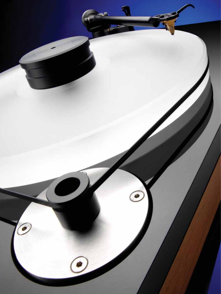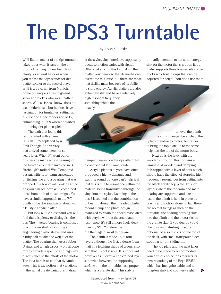# **The DPS3 Turntable**

# by Jason Kennedy

Willi Bauer, maker of the dps turntable takes 'does what it says on the tin' product naming to new heights of clarity, or at least he does when you realise that dps stands for der plattenspieler or the record player. Willi is a Bavarian from Munich, home of Europe's finest high-end show and blokes who wear leather shorts. Willi as far as I know, does not wear lederhosen, but he does have a fascination for turntables, setting up his first one at the tender age of 15, culminating in 1999 when he started producing der plattenspieler.

The path that led to this result started with a Linn LP12 in 1978, replaced by a Pink Triangle Anniversary that arrived some fifteen or so years later. When PT went out of business he made a new bearing for the turntable but also invested in Bill Firebaugh's radical Well Tempered design, with its tonearm suspended on fishing line and a bearing that was propped in a box of oil. Looking at the dps you can see how Willi combined ideas from both of those designs. You have a similar approach to the WT plinth in the dps sandwich, along with a PT style acrylic platter.

But look a little closer and you will find there is plenty to distinguish the dps. The inverted bearing is composed of a tungsten shaft supporting an engineering plastic sleeve and uses a ruby ball to take the weight of the platter. The bearing shaft uses rubber O rings and a high viscosity oil/silicone mix to provide a specific and high level of resistance to the efforts of the motor. The idea here is to combat dynamic wow. This is the notion that variations in the signal create variations in drag

at the stylus/vinyl interface, supposedly because friction varies with signal. Others get around this by making the platter very heavy so that its inertia can overcome this issue, but there are those that dislike mass because of its ability to store energy. Acrylic platters are also extremely stiff and have a relatively high resonant frequency, something which the heavily

primarily intended to act as an energy sink for the motor that sits upon it, but it also supports three foamed elastomer pucks which sit in cups that can be adjusted for height. You don't use them

damped bearing on the dps attempts t o control or at least ameliorate.

Acrylic platters of yore have often produced a highly dynamic and exciting sound but one can't help feel that this is due to resonance within the material being transmitted through the vinyl into the stylus. Listening to the dps 3 it seemed that the combination of bearing design, the threaded plastic record clamp and plinth design managed to retain the speed associated with acrylic without the associated resonance, it's still a more lively deck than my SME 20 reference but then again, most things are.

The plinth is made up of four layers although the first, a dense foam matt in a fetching shade of green, is so slim that it's not visible. It is important however as it forms a constrained layer sandwich between the supporting surface and the turntable base proper which is a granite slab. This slab is

> Reproduced from Hi-Fi+ Issue 55 www.hifiplus.com

to level the plinth as this changes the angle of the platter relative to motor, but rather to bring the top plate up to the same height as the top of the motor body.

Next up is the layer with the wooden surround, this contains a laminate of wooden and damping foils topped with a layer of cork which should have the effect of stopping high frequency resonances from getting into the black acrylic top plate. This top layer is where the tonearm and main bearing are supported and like the rest of the plinth is held in place by gravity and friction alone. In fact there are no real fixings as such on the turntable, the bearing housing slots into the plinth and the motor sits on the granite slab. If you decide you'd like to save on dusting time the optional lid also just sits on the top of the deck, with small transparent feet stopping it from sliding off.

The top plate and the next layer need to be made to accommodate your arm of choice. dps markets its own reworking of the Rega RB250 which has Incognito cable and a tungsten stub and counterweight

ь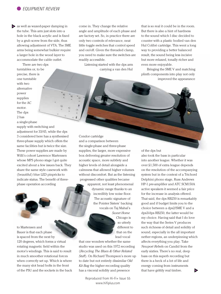

as well as waxed-paper damping in the tube. This arm just slots into a hole in the black acrylic and is fixed by a grub screw from the side, thus allowing adjustment of VTA. The SME arms being somewhat bulkier require a larger hole in the wood layer to accommodate the cable outlet.

There are two dps turntables or, to be precise, there is one turntable with two alternative power supplies for the AC motor. The dps 2 has a single-phase

supply with switching and adjustment for 33/45, while the dps 3 considered here has a synthesised three-phase supply which offers the same facilities but is twice the size. These power supplies are made by Willi's cohort Lawrence Martensen whose MPS phono stage I got quite excited about a few issues back. They share the same style casework with (beautiful) blue LED pinpricks to indicate status. The benefit of threephase operation according

to Martensen and Bauer is that each phase is spaced from the next by 120 degrees, which forms a virtual rotating magnetic field within the motor's windings. This is said to result in much smoother rotational forces when correctly set up. Which is where the many slot head bolts in the front of the PSU and the sockets in the back come in. They change the relative angle and amplitude of each phase and are factory set. So, in practice there are only two controls of relevance, neat little toggle switches that control speed and on/off. Given the threaded clamp, you need to make sure the switches are readily accessible.

Listening started with the dps arm carrying a van den Hul

that is so real it could be in the room. But there is also a hint of hardness to the sound which I disc decided to counter with a plastic bodied van den Hul Colibri cartridge. This went a long way to providing a better balanced result, the sound being less incisive but more relaxed, tonally richer and even more enjoyable.

Bringing the SME V and matching plinth components into play not only improved the appearance

# and a comparison between the single-phase and three-phase supplies, the larger, more expensive box delivering greater resolution of acoustic space, more subtlety and higher levels of detail alongside a calmness that allowed higher volumes without discomfort. But as the listening

Condor cartridge

progressed other qualities became apparent, not least phenomenal dynamic range thanks to an incredibly low noise floor. The acoustic signature of the Pointer Sisters' backing vocals on Taj Mahal's *Sweet Home Chicago* is so utterly different to that on the lead vocal

that one wonders whether the same studio was used on this 1972 recording (*Recycling The Blues & Other Related Stuff*). On Richard Thompson's more up to date but not entirely dissimilar *Old Kit Bag* the higher recording quality has a visceral solidity and presence

Reproduced from Hi-Fi+ Issue 55 www.hifiplus.com

of the dps but

also took the bass in particular into another league. Whether it was over £1,500 of extra league depends on the resolution of the accompanying system but in the context of a Trichord Delphini phono stage, Russ Andrews HP-1 pre-amplifier and ATC SCM150A active speakers it seemed a fair price for the increase in analysis offered. That said, the dps RB250 is remarkably good and if budget limits you to the choice between a dps2/SME V and a dps3/dps RB250, the latter would be my choice. Having said that I do love the way that the Series V produces such richness of detail and solidity of sound, especially in the all important nether regions, an underpinning which affects everything you play. Take *Newport Rebels* on Candid from the early sixties. There's no real, deep bass on this superb recording but there is a heck of a lot of life and energy coming from instruments that have grittily real timbre. ь